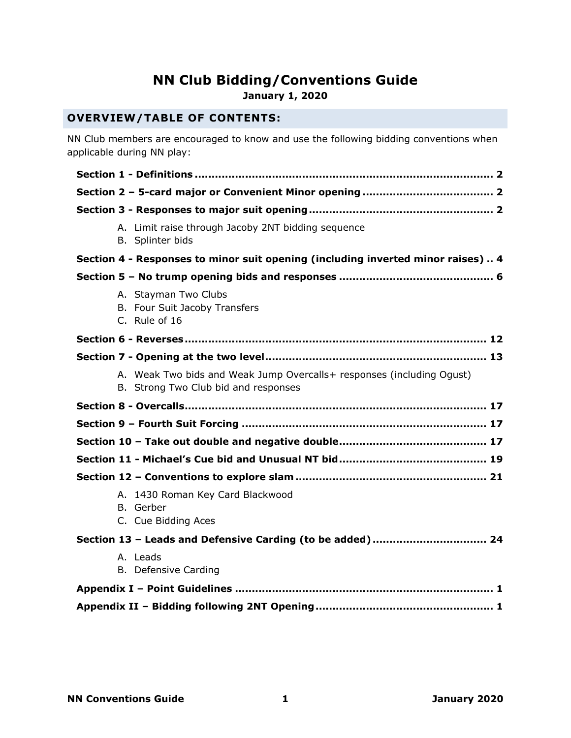# **NN Club Bidding/Conventions Guide**

**January 1, 2020**

# **OVERVIEW/TABLE OF CONTENTS:**

NN Club members are encouraged to know and use the following bidding conventions when applicable during NN play:

<span id="page-0-0"></span>

| A. Limit raise through Jacoby 2NT bidding sequence<br>B. Splinter bids                                        |
|---------------------------------------------------------------------------------------------------------------|
| Section 4 - Responses to minor suit opening (including inverted minor raises)  4                              |
|                                                                                                               |
| A. Stayman Two Clubs<br>B. Four Suit Jacoby Transfers<br>C. Rule of 16                                        |
|                                                                                                               |
|                                                                                                               |
| A. Weak Two bids and Weak Jump Overcalls+ responses (including Ogust)<br>B. Strong Two Club bid and responses |
|                                                                                                               |
|                                                                                                               |
|                                                                                                               |
|                                                                                                               |
|                                                                                                               |
| A. 1430 Roman Key Card Blackwood<br>B. Gerber<br>C. Cue Bidding Aces                                          |
|                                                                                                               |
| A. Leads<br><b>B.</b> Defensive Carding                                                                       |
|                                                                                                               |
|                                                                                                               |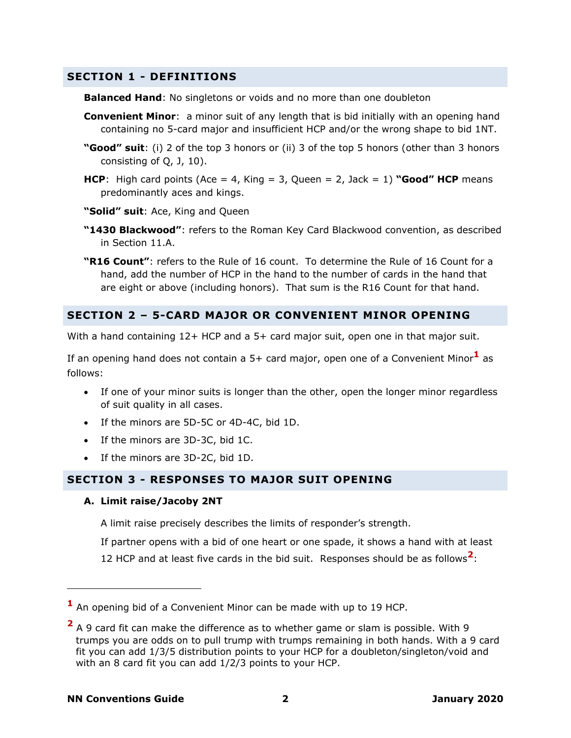# **SECTION 1 - DEFINITIONS**

**Balanced Hand**: No singletons or voids and no more than one doubleton

- **Convenient Minor**: a minor suit of any length that is bid initially with an opening hand containing no 5-card major and insufficient HCP and/or the wrong shape to bid 1NT.
- **"Good" suit**: (i) 2 of the top 3 honors or (ii) 3 of the top 5 honors (other than 3 honors consisting of Q, J, 10).
- **HCP**: High card points (Ace = 4, King = 3, Queen = 2, Jack = 1) "**Good" HCP** means predominantly aces and kings.
- **"Solid" suit**: Ace, King and Queen
- **"1430 Blackwood"**: refers to the Roman Key Card Blackwood convention, as described in Section 11.A.
- **"R16 Count"**: refers to the Rule of 16 count. To determine the Rule of 16 Count for a hand, add the number of HCP in the hand to the number of cards in the hand that are eight or above (including honors). That sum is the R16 Count for that hand.

# <span id="page-1-0"></span>**SECTION 2 – 5-CARD MAJOR OR CONVENIENT MINOR OPENING**

With a hand containing 12+ HCP and a 5+ card major suit, open one in that major suit.

If an opening hand does not contain a 5+ card major, open one of a Convenient Minor**<sup>1</sup>** as follows:

- If one of your minor suits is longer than the other, open the longer minor regardless of suit quality in all cases.
- If the minors are 5D-5C or 4D-4C, bid 1D.
- If the minors are 3D-3C, bid 1C.
- If the minors are 3D-2C, bid 1D.

# <span id="page-1-1"></span>**SECTION 3 - RESPONSES TO MAJOR SUIT OPENING**

#### **A. Limit raise/Jacoby 2NT**

A limit raise precisely describes the limits of responder's strength.

If partner opens with a bid of one heart or one spade, it shows a hand with at least 12 HCP and at least five cards in the bid suit. Responses should be as follows**<sup>2</sup>** :

**<sup>1</sup>** An opening bid of a Convenient Minor can be made with up to 19 HCP.

**<sup>2</sup>** A 9 card fit can make the difference as to whether game or slam is possible. With 9 trumps you are odds on to pull trump with trumps remaining in both hands. With a 9 card fit you can add 1/3/5 distribution points to your HCP for a doubleton/singleton/void and with an 8 card fit you can add 1/2/3 points to your HCP.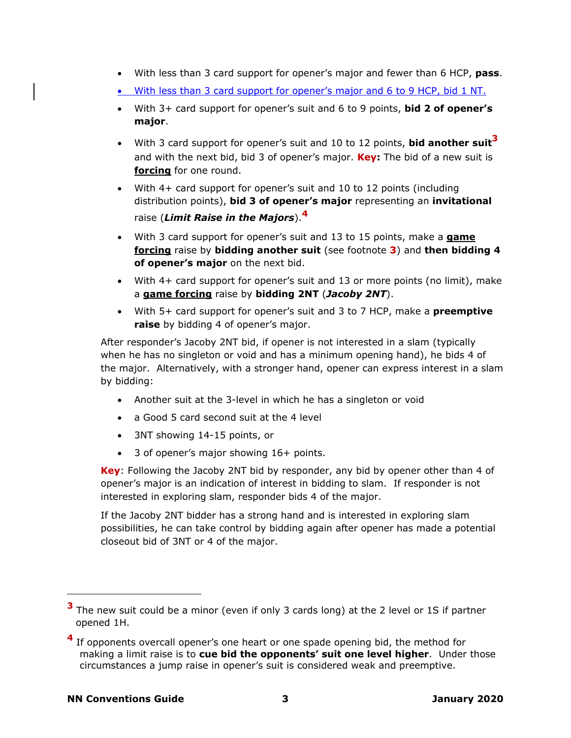- With less than 3 card support for opener's major and fewer than 6 HCP, **pass**.
- With less than 3 card support for opener's major and 6 to 9 HCP, bid 1 NT.
- With 3+ card support for opener's suit and 6 to 9 points, **bid 2 of opener's major**.
- With 3 card support for opener's suit and 10 to 12 points, **bid another suit 3** and with the next bid, bid 3 of opener's major. **Key:** The bid of a new suit is **forcing** for one round.
- With 4+ card support for opener's suit and 10 to 12 points (including distribution points), **bid 3 of opener's major** representing an **invitational** raise (*Limit Raise in the Majors*).**<sup>4</sup>**
- With 3 card support for opener's suit and 13 to 15 points, make a **game forcing** raise by **bidding another suit** (see footnote **3**) and **then bidding 4 of opener's major** on the next bid.
- With 4+ card support for opener's suit and 13 or more points (no limit), make a **game forcing** raise by **bidding 2NT** (*Jacoby 2NT*).
- With 5+ card support for opener's suit and 3 to 7 HCP, make a **preemptive raise** by bidding 4 of opener's major.

After responder's Jacoby 2NT bid, if opener is not interested in a slam (typically when he has no singleton or void and has a minimum opening hand), he bids 4 of the major. Alternatively, with a stronger hand, opener can express interest in a slam by bidding:

- Another suit at the 3-level in which he has a singleton or void
- a Good 5 card second suit at the 4 level
- 3NT showing 14-15 points, or
- 3 of opener's major showing 16+ points.

**Key**: Following the Jacoby 2NT bid by responder, any bid by opener other than 4 of opener's major is an indication of interest in bidding to slam. If responder is not interested in exploring slam, responder bids 4 of the major.

If the Jacoby 2NT bidder has a strong hand and is interested in exploring slam possibilities, he can take control by bidding again after opener has made a potential closeout bid of 3NT or 4 of the major.

**<sup>3</sup>** The new suit could be a minor (even if only 3 cards long) at the 2 level or 1S if partner opened 1H.

**<sup>4</sup>** If opponents overcall opener's one heart or one spade opening bid, the method for making a limit raise is to **cue bid the opponents' suit one level higher**. Under those circumstances a jump raise in opener's suit is considered weak and preemptive.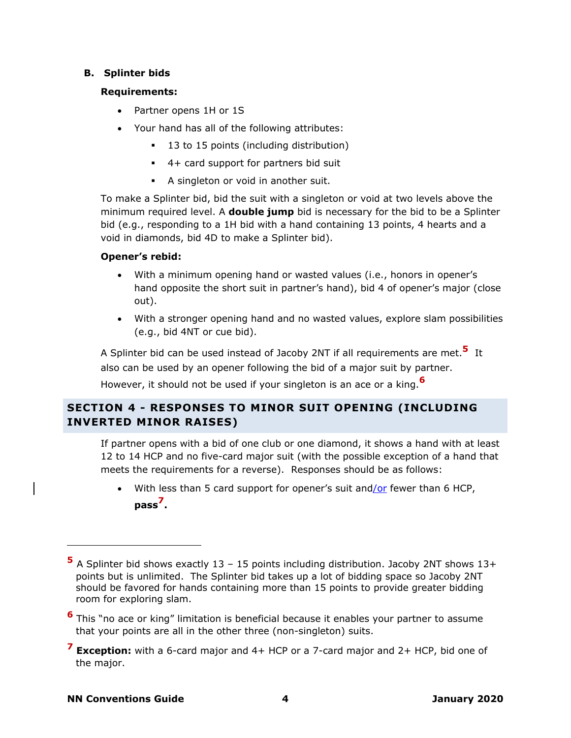### **B. Splinter bids**

### **Requirements:**

- Partner opens 1H or 1S
- Your hand has all of the following attributes:
	- 13 to 15 points (including distribution)
	- 4+ card support for partners bid suit
	- A singleton or void in another suit.

To make a Splinter bid, bid the suit with a singleton or void at two levels above the minimum required level. A **double jump** bid is necessary for the bid to be a Splinter bid (e.g., responding to a 1H bid with a hand containing 13 points, 4 hearts and a void in diamonds, bid 4D to make a Splinter bid).

# **Opener's rebid:**

- With a minimum opening hand or wasted values (i.e., honors in opener's hand opposite the short suit in partner's hand), bid 4 of opener's major (close out).
- With a stronger opening hand and no wasted values, explore slam possibilities (e.g., bid 4NT or cue bid).

A Splinter bid can be used instead of Jacoby 2NT if all requirements are met. **5** It also can be used by an opener following the bid of a major suit by partner.

However, it should not be used if your singleton is an ace or a king.**<sup>6</sup>**

# <span id="page-3-0"></span>**SECTION 4 - RESPONSES TO MINOR SUIT OPENING (INCLUDING INVERTED MINOR RAISES)**

If partner opens with a bid of one club or one diamond, it shows a hand with at least 12 to 14 HCP and no five-card major suit (with the possible exception of a hand that meets the requirements for a reverse). Responses should be as follows:

With less than 5 card support for opener's suit and/or fewer than 6 HCP, **pass<sup>7</sup> .**

- **6** This "no ace or king" limitation is beneficial because it enables your partner to assume that your points are all in the other three (non-singleton) suits.
- **<sup>7</sup> Exception:** with a 6-card major and 4+ HCP or a 7-card major and 2+ HCP, bid one of the major.

**<sup>5</sup>** A Splinter bid shows exactly 13 – 15 points including distribution. Jacoby 2NT shows 13+ points but is unlimited. The Splinter bid takes up a lot of bidding space so Jacoby 2NT should be favored for hands containing more than 15 points to provide greater bidding room for exploring slam.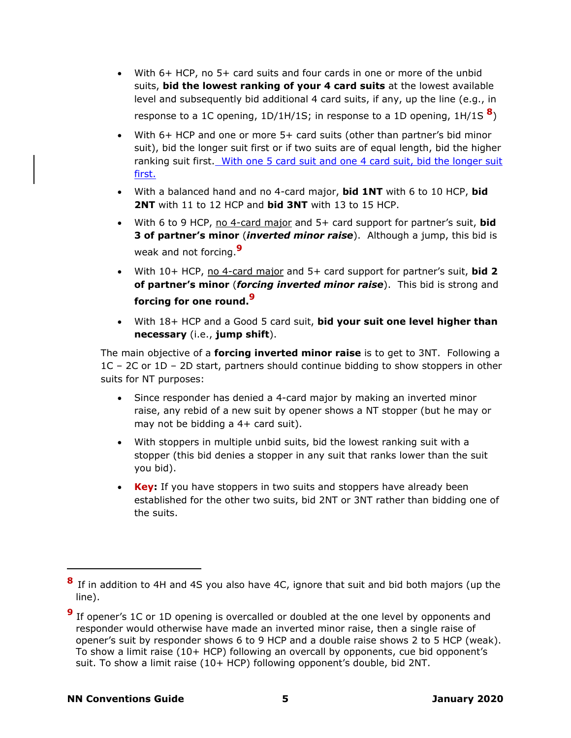- With 6+ HCP, no 5+ card suits and four cards in one or more of the unbid suits, **bid the lowest ranking of your 4 card suits** at the lowest available level and subsequently bid additional 4 card suits, if any, up the line (e.g., in response to a 1C opening, 1D/1H/1S; in response to a 1D opening, 1H/1S **<sup>8</sup>** )
- With 6+ HCP and one or more 5+ card suits (other than partner's bid minor suit), bid the longer suit first or if two suits are of equal length, bid the higher ranking suit first. With one 5 card suit and one 4 card suit, bid the longer suit first.
- With a balanced hand and no 4-card major, **bid 1NT** with 6 to 10 HCP, **bid 2NT** with 11 to 12 HCP and **bid 3NT** with 13 to 15 HCP.
- With 6 to 9 HCP, no 4-card major and 5+ card support for partner's suit, **bid 3 of partner's minor** (*inverted minor raise*). Although a jump, this bid is weak and not forcing.**<sup>9</sup>**
- <span id="page-4-0"></span>• With 10+ HCP, no 4-card major and 5+ card support for partner's suit, **bid 2 of partner's minor** (*forcing inverted minor raise*). This bid is strong and **forcing for one round. [9](#page-4-0)**
- With 18+ HCP and a Good 5 card suit, **bid your suit one level higher than necessary** (i.e., **jump shift**).

The main objective of a **forcing inverted minor raise** is to get to 3NT. Following a 1C – 2C or 1D – 2D start, partners should continue bidding to show stoppers in other suits for NT purposes:

- Since responder has denied a 4-card major by making an inverted minor raise, any rebid of a new suit by opener shows a NT stopper (but he may or may not be bidding a 4+ card suit).
- With stoppers in multiple unbid suits, bid the lowest ranking suit with a stopper (this bid denies a stopper in any suit that ranks lower than the suit you bid).
- **Key:** If you have stoppers in two suits and stoppers have already been established for the other two suits, bid 2NT or 3NT rather than bidding one of the suits.

**<sup>8</sup>** If in addition to 4H and 4S you also have 4C, ignore that suit and bid both majors (up the line).

**<sup>9</sup>** If opener's 1C or 1D opening is overcalled or doubled at the one level by opponents and responder would otherwise have made an inverted minor raise, then a single raise of opener's suit by responder shows 6 to 9 HCP and a double raise shows 2 to 5 HCP (weak). To show a limit raise (10+ HCP) following an overcall by opponents, cue bid opponent's suit. To show a limit raise (10+ HCP) following opponent's double, bid 2NT.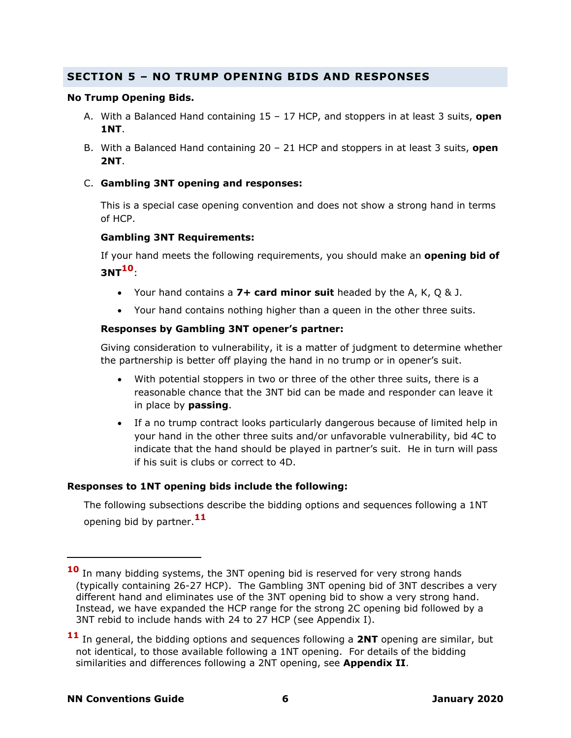# <span id="page-5-0"></span>**SECTION 5 – NO TRUMP OPENING BIDS AND RESPONSES**

#### **No Trump Opening Bids.**

- A. With a Balanced Hand containing 15 17 HCP, and stoppers in at least 3 suits, **open 1NT**.
- B. With a Balanced Hand containing 20 21 HCP and stoppers in at least 3 suits, **open 2NT**.
- C. **Gambling 3NT opening and responses:**

This is a special case opening convention and does not show a strong hand in terms of HCP.

#### **Gambling 3NT Requirements:**

If your hand meets the following requirements, you should make an **opening bid of 3NT10**:

- Your hand contains a **7+ card minor suit** headed by the A, K, Q & J.
- Your hand contains nothing higher than a queen in the other three suits.

#### **Responses by Gambling 3NT opener's partner:**

Giving consideration to vulnerability, it is a matter of judgment to determine whether the partnership is better off playing the hand in no trump or in opener's suit.

- With potential stoppers in two or three of the other three suits, there is a reasonable chance that the 3NT bid can be made and responder can leave it in place by **passing**.
- If a no trump contract looks particularly dangerous because of limited help in your hand in the other three suits and/or unfavorable vulnerability, bid 4C to indicate that the hand should be played in partner's suit. He in turn will pass if his suit is clubs or correct to 4D.

#### **Responses to 1NT opening bids include the following:**

The following subsections describe the bidding options and sequences following a 1NT opening bid by partner.**<sup>11</sup>**

**<sup>10</sup>** In many bidding systems, the 3NT opening bid is reserved for very strong hands (typically containing 26-27 HCP). The Gambling 3NT opening bid of 3NT describes a very different hand and eliminates use of the 3NT opening bid to show a very strong hand. Instead, we have expanded the HCP range for the strong 2C opening bid followed by a 3NT rebid to include hands with 24 to 27 HCP (see Appendix I).

**<sup>11</sup>** In general, the bidding options and sequences following a **2NT** opening are similar, but not identical, to those available following a 1NT opening. For details of the bidding similarities and differences following a 2NT opening, see **Appendix II**.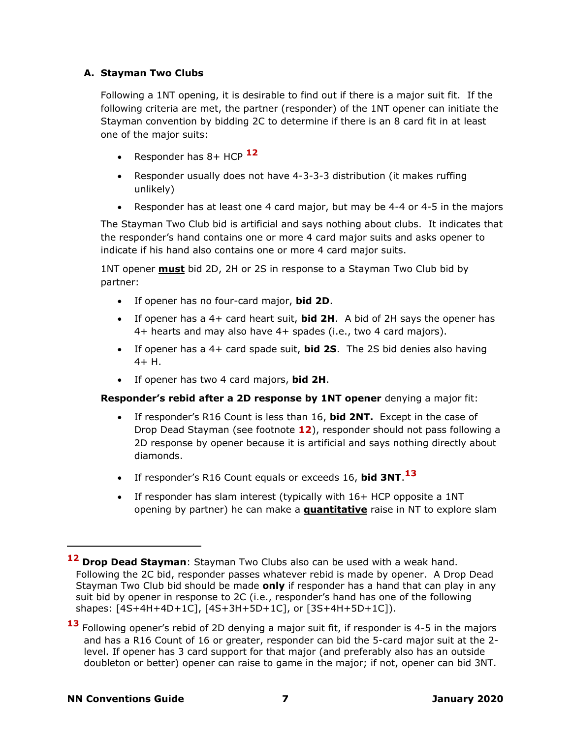# **A. Stayman Two Clubs**

Following a 1NT opening, it is desirable to find out if there is a major suit fit. If the following criteria are met, the partner (responder) of the 1NT opener can initiate the Stayman convention by bidding 2C to determine if there is an 8 card fit in at least one of the major suits:

- Responder has 8+ HCP **12**
- Responder usually does not have 4-3-3-3 distribution (it makes ruffing unlikely)
- Responder has at least one 4 card major, but may be 4-4 or 4-5 in the majors

The Stayman Two Club bid is artificial and says nothing about clubs. It indicates that the responder's hand contains one or more 4 card major suits and asks opener to indicate if his hand also contains one or more 4 card major suits.

1NT opener **must** bid 2D, 2H or 2S in response to a Stayman Two Club bid by partner:

- If opener has no four-card major, **bid 2D**.
- If opener has a 4+ card heart suit, **bid 2H**. A bid of 2H says the opener has 4+ hearts and may also have 4+ spades (i.e., two 4 card majors).
- If opener has a 4+ card spade suit, **bid 2S**. The 2S bid denies also having  $4 + H$ .
- If opener has two 4 card majors, **bid 2H**.

# **Responder's rebid after a 2D response by 1NT opener** denying a major fit:

- If responder's R16 Count is less than 16, **bid 2NT.** Except in the case of Drop Dead Stayman (see footnote **12**), responder should not pass following a 2D response by opener because it is artificial and says nothing directly about diamonds.
- If responder's R16 Count equals or exceeds 16, **bid 3NT**. **13**
- If responder has slam interest (typically with 16+ HCP opposite a 1NT opening by partner) he can make a **quantitative** raise in NT to explore slam

**<sup>12</sup> Drop Dead Stayman**: Stayman Two Clubs also can be used with a weak hand. Following the 2C bid, responder passes whatever rebid is made by opener. A Drop Dead Stayman Two Club bid should be made **only** if responder has a hand that can play in any suit bid by opener in response to 2C (i.e., responder's hand has one of the following shapes: [4S+4H+4D+1C], [4S+3H+5D+1C], or [3S+4H+5D+1C]).

<sup>13</sup> Following opener's rebid of 2D denying a major suit fit, if responder is 4-5 in the majors and has a R16 Count of 16 or greater, responder can bid the 5-card major suit at the 2 level. If opener has 3 card support for that major (and preferably also has an outside doubleton or better) opener can raise to game in the major; if not, opener can bid 3NT.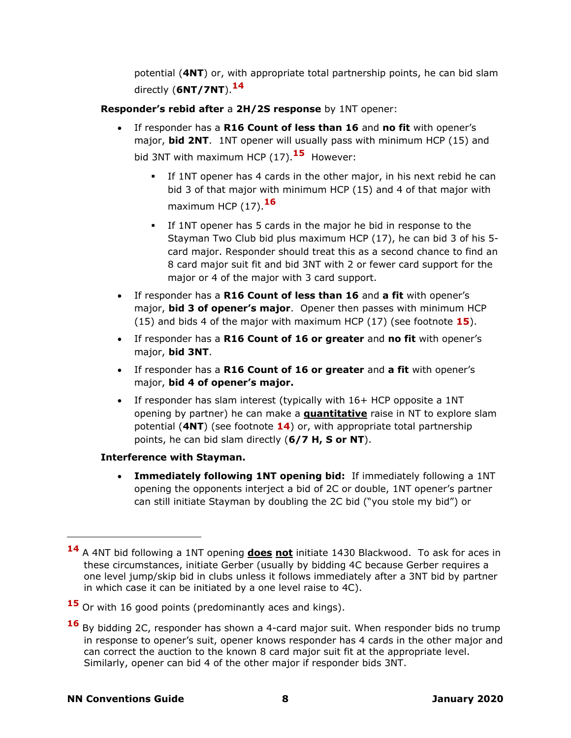potential (**4NT**) or, with appropriate total partnership points, he can bid slam directly (**6NT/7NT**). **14**

**Responder's rebid after** a **2H/2S response** by 1NT opener:

- If responder has a **R16 Count of less than 16** and **no fit** with opener's major, **bid 2NT**. 1NT opener will usually pass with minimum HCP (15) and bid 3NT with maximum HCP (17).**<sup>15</sup>** However:
	- If 1NT opener has 4 cards in the other major, in his next rebid he can bid 3 of that major with minimum HCP (15) and 4 of that major with maximum HCP (17). **16**
	- **.** If 1NT opener has 5 cards in the major he bid in response to the Stayman Two Club bid plus maximum HCP (17), he can bid 3 of his 5 card major. Responder should treat this as a second chance to find an 8 card major suit fit and bid 3NT with 2 or fewer card support for the major or 4 of the major with 3 card support.
- If responder has a **R16 Count of less than 16** and **a fit** with opener's major, **bid 3 of opener's major**. Opener then passes with minimum HCP (15) and bids 4 of the major with maximum HCP (17) (see footnote **15**).
- If responder has a **R16 Count of 16 or greater** and **no fit** with opener's major, **bid 3NT**.
- If responder has a **R16 Count of 16 or greater** and **a fit** with opener's major, **bid 4 of opener's major.**
- If responder has slam interest (typically with 16+ HCP opposite a 1NT opening by partner) he can make a **quantitative** raise in NT to explore slam potential (**4NT**) (see footnote **14**) or, with appropriate total partnership points, he can bid slam directly (**6/7 H, S or NT**).

# **Interference with Stayman.**

• **Immediately following 1NT opening bid:** If immediately following a 1NT opening the opponents interject a bid of 2C or double, 1NT opener's partner can still initiate Stayman by doubling the 2C bid ("you stole my bid") or

**<sup>14</sup>** A 4NT bid following a 1NT opening **does not** initiate 1430 Blackwood. To ask for aces in these circumstances, initiate Gerber (usually by bidding 4C because Gerber requires a one level jump/skip bid in clubs unless it follows immediately after a 3NT bid by partner in which case it can be initiated by a one level raise to 4C).

**<sup>15</sup>** Or with 16 good points (predominantly aces and kings).

**<sup>16</sup>** By bidding 2C, responder has shown a 4-card major suit. When responder bids no trump in response to opener's suit, opener knows responder has 4 cards in the other major and can correct the auction to the known 8 card major suit fit at the appropriate level. Similarly, opener can bid 4 of the other major if responder bids 3NT.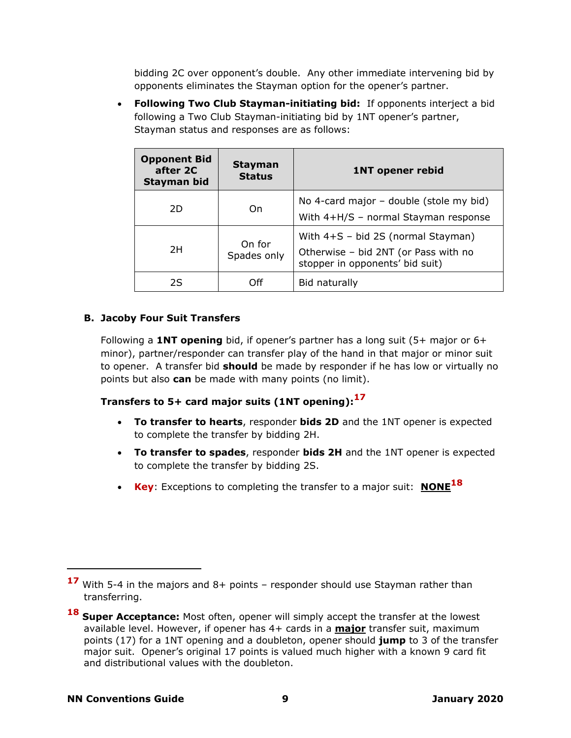bidding 2C over opponent's double. Any other immediate intervening bid by opponents eliminates the Stayman option for the opener's partner.

• **Following Two Club Stayman-initiating bid:** If opponents interject a bid following a Two Club Stayman-initiating bid by 1NT opener's partner, Stayman status and responses are as follows:

| <b>Opponent Bid</b><br>after 2C<br>Stayman bid | <b>Stayman</b><br><b>Status</b> | <b>1NT opener rebid</b>                                                                                         |
|------------------------------------------------|---------------------------------|-----------------------------------------------------------------------------------------------------------------|
| 2D                                             | On                              | No 4-card major $-$ double (stole my bid)<br>With 4+H/S - normal Stayman response                               |
| 2H                                             | On for<br>Spades only           | With $4+S - bid$ 2S (normal Stayman)<br>Otherwise - bid 2NT (or Pass with no<br>stopper in opponents' bid suit) |
| 2S                                             | ∩ff                             | Bid naturally                                                                                                   |

# **B. Jacoby Four Suit Transfers**

Following a **1NT opening** bid, if opener's partner has a long suit (5+ major or 6+ minor), partner/responder can transfer play of the hand in that major or minor suit to opener. A transfer bid **should** be made by responder if he has low or virtually no points but also **can** be made with many points (no limit).

# **Transfers to 5+ card major suits (1NT opening):<sup>17</sup>**

- **To transfer to hearts**, responder **bids 2D** and the 1NT opener is expected to complete the transfer by bidding 2H.
- **To transfer to spades**, responder **bids 2H** and the 1NT opener is expected to complete the transfer by bidding 2S.
- **Key**: Exceptions to completing the transfer to a major suit: **NONE<sup>18</sup>**

**<sup>17</sup>** With 5-4 in the majors and 8+ points – responder should use Stayman rather than transferring.

**<sup>18</sup>** Super Acceptance: Most often, opener will simply accept the transfer at the lowest available level. However, if opener has 4+ cards in a **major** transfer suit, maximum points (17) for a 1NT opening and a doubleton, opener should **jump** to 3 of the transfer major suit. Opener's original 17 points is valued much higher with a known 9 card fit and distributional values with the doubleton.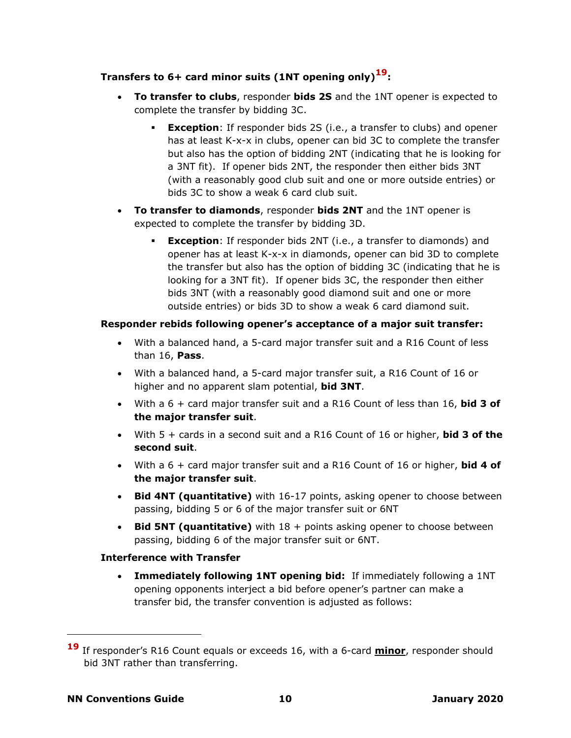# **Transfers to 6+ card minor suits (1NT opening only)19:**

- **To transfer to clubs**, responder **bids 2S** and the 1NT opener is expected to complete the transfer by bidding 3C.
	- **Exception**: If responder bids 2S (i.e., a transfer to clubs) and opener has at least K-x-x in clubs, opener can bid 3C to complete the transfer but also has the option of bidding 2NT (indicating that he is looking for a 3NT fit). If opener bids 2NT, the responder then either bids 3NT (with a reasonably good club suit and one or more outside entries) or bids 3C to show a weak 6 card club suit.
- **To transfer to diamonds**, responder **bids 2NT** and the 1NT opener is expected to complete the transfer by bidding 3D.
	- **Exception**: If responder bids 2NT (i.e., a transfer to diamonds) and opener has at least K-x-x in diamonds, opener can bid 3D to complete the transfer but also has the option of bidding 3C (indicating that he is looking for a 3NT fit). If opener bids 3C, the responder then either bids 3NT (with a reasonably good diamond suit and one or more outside entries) or bids 3D to show a weak 6 card diamond suit.

# **Responder rebids following opener's acceptance of a major suit transfer:**

- With a balanced hand, a 5-card major transfer suit and a R16 Count of less than 16, **Pass**.
- With a balanced hand, a 5-card major transfer suit, a R16 Count of 16 or higher and no apparent slam potential, **bid 3NT**.
- With a 6 + card major transfer suit and a R16 Count of less than 16, **bid 3 of the major transfer suit**.
- With 5 + cards in a second suit and a R16 Count of 16 or higher, **bid 3 of the second suit**.
- With a 6 + card major transfer suit and a R16 Count of 16 or higher, **bid 4 of the major transfer suit**.
- **Bid 4NT (quantitative)** with 16-17 points, asking opener to choose between passing, bidding 5 or 6 of the major transfer suit or 6NT
- **Bid 5NT (quantitative)** with 18 + points asking opener to choose between passing, bidding 6 of the major transfer suit or 6NT.

# **Interference with Transfer**

• **Immediately following 1NT opening bid:** If immediately following a 1NT opening opponents interject a bid before opener's partner can make a transfer bid, the transfer convention is adjusted as follows:

**<sup>19</sup>** If responder's R16 Count equals or exceeds 16, with a 6-card **minor**, responder should bid 3NT rather than transferring.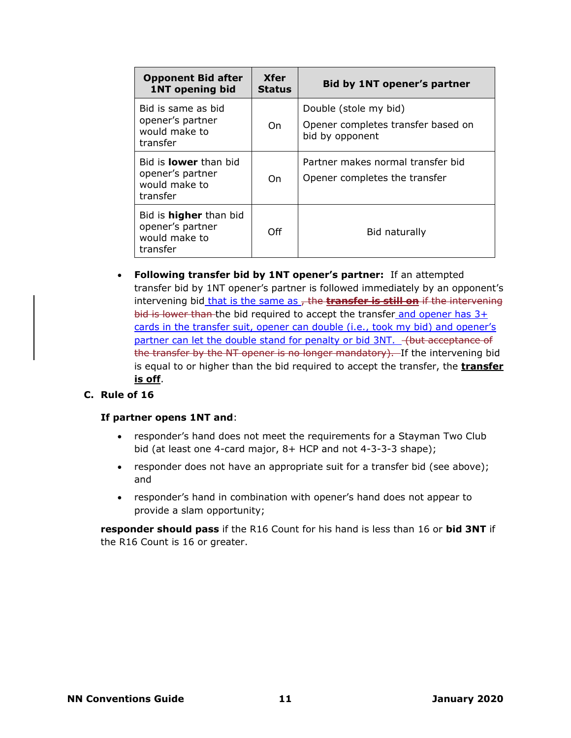| <b>Opponent Bid after</b><br><b>1NT opening bid</b>                            | <b>Xfer</b><br><b>Status</b> | Bid by 1NT opener's partner                                                    |
|--------------------------------------------------------------------------------|------------------------------|--------------------------------------------------------------------------------|
| Bid is same as bid<br>opener's partner<br>would make to<br>transfer            | On.                          | Double (stole my bid)<br>Opener completes transfer based on<br>bid by opponent |
| Bid is <b>lower</b> than bid<br>opener's partner<br>would make to<br>transfer  | On.                          | Partner makes normal transfer bid<br>Opener completes the transfer             |
| Bid is <b>higher</b> than bid<br>opener's partner<br>would make to<br>transfer | Off                          | Bid naturally                                                                  |

• **Following transfer bid by 1NT opener's partner:** If an attempted transfer bid by 1NT opener's partner is followed immediately by an opponent's intervening bid that is the same as, the **transfer is still on** if the intervening bid is lower than the bid required to accept the transfer and opener has 3+ cards in the transfer suit, opener can double (i.e., took my bid) and opener's partner can let the double stand for penalty or bid 3NT. (but acceptance of the transfer by the NT opener is no longer mandatory). If the intervening bid is equal to or higher than the bid required to accept the transfer, the **transfer is off**.

# **C. Rule of 16**

#### **If partner opens 1NT and**:

- responder's hand does not meet the requirements for a Stayman Two Club bid (at least one 4-card major, 8+ HCP and not 4-3-3-3 shape);
- responder does not have an appropriate suit for a transfer bid (see above); and
- responder's hand in combination with opener's hand does not appear to provide a slam opportunity;

**responder should pass** if the R16 Count for his hand is less than 16 or **bid 3NT** if the R16 Count is 16 or greater.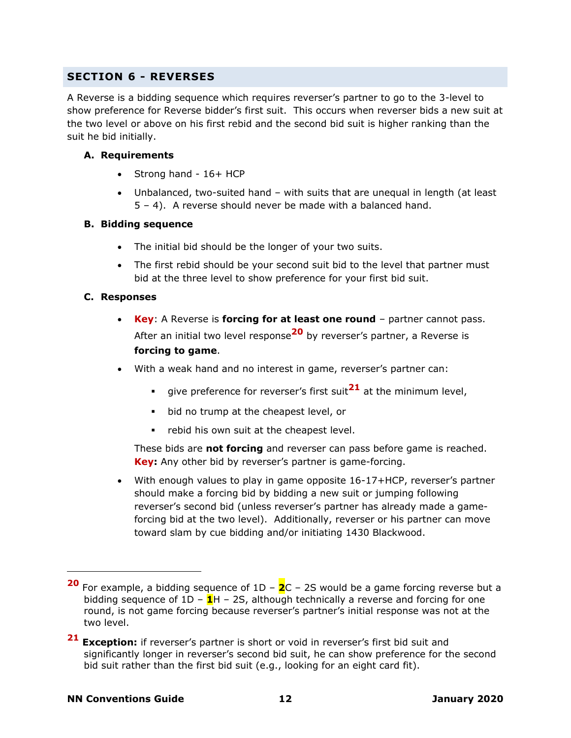# <span id="page-11-0"></span>**SECTION 6 - REVERSES**

A Reverse is a bidding sequence which requires reverser's partner to go to the 3-level to show preference for Reverse bidder's first suit. This occurs when reverser bids a new suit at the two level or above on his first rebid and the second bid suit is higher ranking than the suit he bid initially.

### **A. Requirements**

- Strong hand 16+ HCP
- Unbalanced, two-suited hand with suits that are unequal in length (at least 5 – 4). A reverse should never be made with a balanced hand.

### **B. Bidding sequence**

- The initial bid should be the longer of your two suits.
- The first rebid should be your second suit bid to the level that partner must bid at the three level to show preference for your first bid suit.

### **C. Responses**

- **Key**: A Reverse is **forcing for at least one round** partner cannot pass. After an initial two level response**<sup>20</sup>** by reverser's partner, a Reverse is **forcing to game**.
- With a weak hand and no interest in game, reverser's partner can:
	- give preference for reverser's first suit**<sup>21</sup>** at the minimum level,
	- bid no trump at the cheapest level, or
	- rebid his own suit at the cheapest level.

These bids are **not forcing** and reverser can pass before game is reached. **Key:** Any other bid by reverser's partner is game-forcing.

• With enough values to play in game opposite 16-17+HCP, reverser's partner should make a forcing bid by bidding a new suit or jumping following reverser's second bid (unless reverser's partner has already made a gameforcing bid at the two level). Additionally, reverser or his partner can move toward slam by cue bidding and/or initiating 1430 Blackwood.

**<sup>20</sup>** For example, a bidding sequence of 1D – **2**C – 2S would be a game forcing reverse but a bidding sequence of 1D – **1**H – 2S, although technically a reverse and forcing for one round, is not game forcing because reverser's partner's initial response was not at the two level.

**<sup>21</sup> Exception:** if reverser's partner is short or void in reverser's first bid suit and significantly longer in reverser's second bid suit, he can show preference for the second bid suit rather than the first bid suit (e.g., looking for an eight card fit).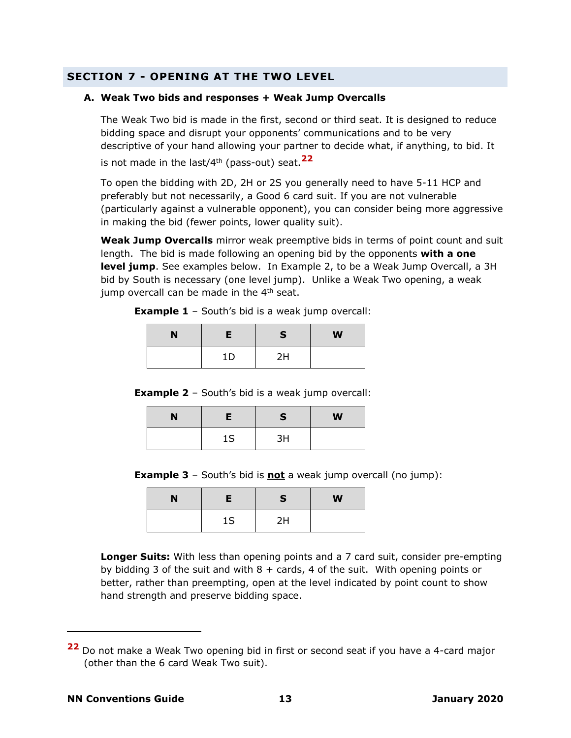# <span id="page-12-0"></span>**SECTION 7 - OPENING AT THE TWO LEVEL**

#### **A. Weak Two bids and responses + Weak Jump Overcalls**

The Weak Two bid is made in the first, second or third seat. It is designed to reduce bidding space and disrupt your opponents' communications and to be very descriptive of your hand allowing your partner to decide what, if anything, to bid. It is not made in the last/4th (pass-out) seat.**<sup>22</sup>**

To open the bidding with 2D, 2H or 2S you generally need to have 5-11 HCP and preferably but not necessarily, a Good 6 card suit. If you are not vulnerable (particularly against a vulnerable opponent), you can consider being more aggressive in making the bid (fewer points, lower quality suit).

**Weak Jump Overcalls** mirror weak preemptive bids in terms of point count and suit length. The bid is made following an opening bid by the opponents **with a one level jump**. See examples below. In Example 2, to be a Weak Jump Overcall, a 3H bid by South is necessary (one level jump). Unlike a Weak Two opening, a weak jump overcall can be made in the  $4<sup>th</sup>$  seat.

**Example 1** – South's bid is a weak jump overcall:

| N |    | <b>S</b> | W |
|---|----|----------|---|
|   | 1D | 2H       |   |

**Example 2** – South's bid is a weak jump overcall:

| N |    | <b>S</b> | W |
|---|----|----------|---|
|   | 1S | 3H       |   |

**Example 3** – South's bid is **not** a weak jump overcall (no jump):

| N | Е  | S  | W |
|---|----|----|---|
|   | 1S | 2H |   |

**Longer Suits:** With less than opening points and a 7 card suit, consider pre-empting by bidding 3 of the suit and with  $8 + \text{cards}$ , 4 of the suit. With opening points or better, rather than preempting, open at the level indicated by point count to show hand strength and preserve bidding space.

**<sup>22</sup>** Do not make a Weak Two opening bid in first or second seat if you have a 4-card major (other than the 6 card Weak Two suit).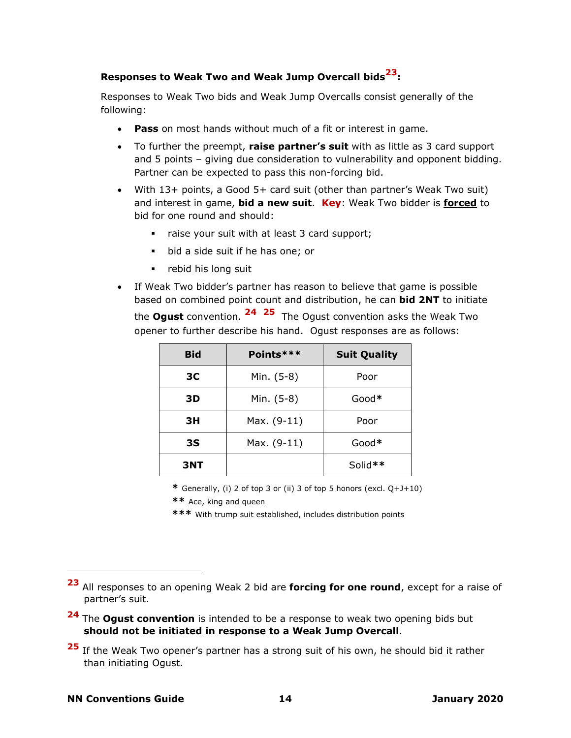# **Responses to Weak Two and Weak Jump Overcall bids <sup>23</sup>:**

Responses to Weak Two bids and Weak Jump Overcalls consist generally of the following:

- **Pass** on most hands without much of a fit or interest in game.
- To further the preempt, **raise partner's suit** with as little as 3 card support and 5 points – giving due consideration to vulnerability and opponent bidding. Partner can be expected to pass this non-forcing bid.
- With 13+ points, a Good 5+ card suit (other than partner's Weak Two suit) and interest in game, **bid a new suit**. **Key**: Weak Two bidder is **forced** to bid for one round and should:
	- raise your suit with at least 3 card support;
	- bid a side suit if he has one; or
	- rebid his long suit
- If Weak Two bidder's partner has reason to believe that game is possible based on combined point count and distribution, he can **bid 2NT** to initiate the **Ogust** convention. <sup>24</sup> <sup>25</sup> The Ogust convention asks the Weak Two opener to further describe his hand. Ogust responses are as follows:

| <b>Bid</b>     | Points***           | <b>Suit Quality</b> |
|----------------|---------------------|---------------------|
| 3 <sup>C</sup> | Min. (5-8)          | Poor                |
| 3D             | Min. (5-8)<br>Good* |                     |
| 3H             | Max. (9-11)         | Poor                |
| 3S             | Max. (9-11)         | $Good*$             |
| <b>3NT</b>     |                     | Solid**             |

**\*** Generally, (i) 2 of top 3 or (ii) 3 of top 5 honors (excl. Q+J+10)

- **\*\*** Ace, king and queen
- **\*\*\*** With trump suit established, includes distribution points

**<sup>23</sup>** All responses to an opening Weak 2 bid are **forcing for one round**, except for a raise of partner's suit.

**<sup>24</sup>** The **Ogust convention** is intended to be a response to weak two opening bids but **should not be initiated in response to a Weak Jump Overcall**.

**<sup>25</sup>** If the Weak Two opener's partner has a strong suit of his own, he should bid it rather than initiating Ogust.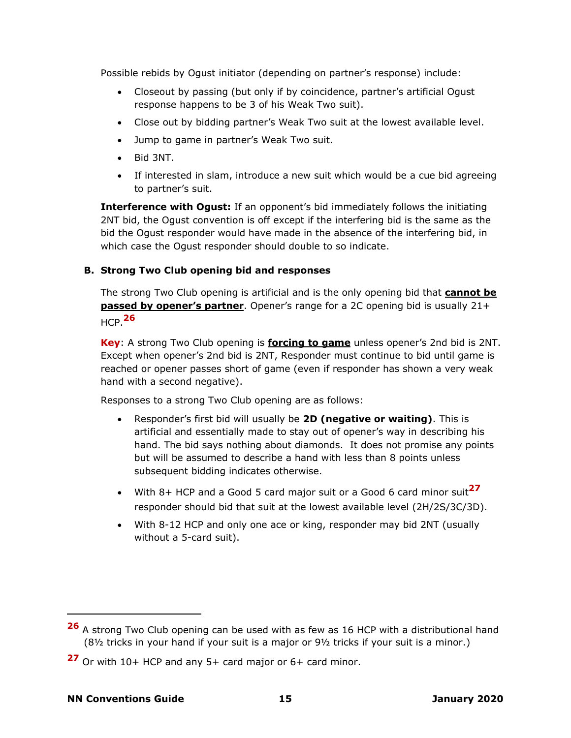Possible rebids by Ogust initiator (depending on partner's response) include:

- Closeout by passing (but only if by coincidence, partner's artificial Ogust response happens to be 3 of his Weak Two suit).
- Close out by bidding partner's Weak Two suit at the lowest available level.
- Jump to game in partner's Weak Two suit.
- Bid 3NT.
- If interested in slam, introduce a new suit which would be a cue bid agreeing to partner's suit.

**Interference with Ogust:** If an opponent's bid immediately follows the initiating 2NT bid, the Ogust convention is off except if the interfering bid is the same as the bid the Ogust responder would have made in the absence of the interfering bid, in which case the Ogust responder should double to so indicate.

### **B. Strong Two Club opening bid and responses**

The strong Two Club opening is artificial and is the only opening bid that **cannot be passed by opener's partner**. Opener's range for a 2C opening bid is usually 21+ HCP. **26**

**Key**: A strong Two Club opening is **forcing to game** unless opener's 2nd bid is 2NT. Except when opener's 2nd bid is 2NT, Responder must continue to bid until game is reached or opener passes short of game (even if responder has shown a very weak hand with a second negative).

Responses to a strong Two Club opening are as follows:

- Responder's first bid will usually be **2D (negative or waiting)**. This is artificial and essentially made to stay out of opener's way in describing his hand. The bid says nothing about diamonds. It does not promise any points but will be assumed to describe a hand with less than 8 points unless subsequent bidding indicates otherwise.
- With 8+ HCP and a Good 5 card major suit or a Good 6 card minor suit**<sup>27</sup>** responder should bid that suit at the lowest available level (2H/2S/3C/3D).
- With 8-12 HCP and only one ace or king, responder may bid 2NT (usually without a 5-card suit).

**<sup>26</sup>** A strong Two Club opening can be used with as few as 16 HCP with a distributional hand (8½ tricks in your hand if your suit is a major or 9½ tricks if your suit is a minor.)

**<sup>27</sup>** Or with 10+ HCP and any 5+ card major or 6+ card minor.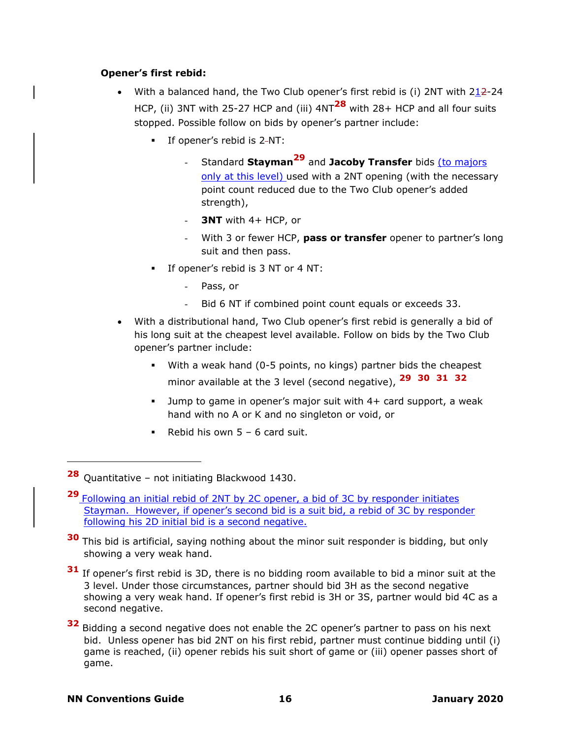### **Opener's first rebid:**

- <span id="page-15-0"></span>With a balanced hand, the Two Club opener's first rebid is (i) 2NT with  $2\underline{12}$ -24 HCP, (ii) 3NT with 25-27 HCP and (iii) 4NT**<sup>28</sup>** with 28+ HCP and all four suits stopped. Possible follow on bids by opener's partner include:
	- If opener's rebid is 2-NT:
		- Standard **Stayman<sup>29</sup>** and **Jacoby Transfer** bids (to majors only at this level) used with a 2NT opening (with the necessary point count reduced due to the Two Club opener's added strength),
		- **3NT** with 4+ HCP, or
		- With 3 or fewer HCP, **pass or transfer** opener to partner's long suit and then pass.
	- If opener's rebid is 3 NT or 4 NT:
		- Pass, or
		- Bid 6 NT if combined point count equals or exceeds 33.
- With a distributional hand, Two Club opener's first rebid is generally a bid of his long suit at the cheapest level available. Follow on bids by the Two Club opener's partner include:
	- With a weak hand (0-5 points, no kings) partner bids the cheapest minor available at the 3 level (second negative), **[29](#page-15-0) 30 31 32**
	- Jump to game in opener's major suit with  $4+$  card support, a weak hand with no A or K and no singleton or void, or
	- **•** Rebid his own  $5 6$  card suit.

**<sup>28</sup>** Quantitative – not initiating Blackwood 1430.

**<sup>29</sup>** Following an initial rebid of 2NT by 2C opener, a bid of 3C by responder initiates Stayman. However, if opener's second bid is a suit bid, a rebid of 3C by responder following his 2D initial bid is a second negative.

**<sup>30</sup>** This bid is artificial, saying nothing about the minor suit responder is bidding, but only showing a very weak hand.

**<sup>31</sup>** If opener's first rebid is 3D, there is no bidding room available to bid a minor suit at the 3 level. Under those circumstances, partner should bid 3H as the second negative showing a very weak hand. If opener's first rebid is 3H or 3S, partner would bid 4C as a second negative.

**<sup>32</sup>** Bidding a second negative does not enable the 2C opener's partner to pass on his next bid. Unless opener has bid 2NT on his first rebid, partner must continue bidding until (i) game is reached, (ii) opener rebids his suit short of game or (iii) opener passes short of game.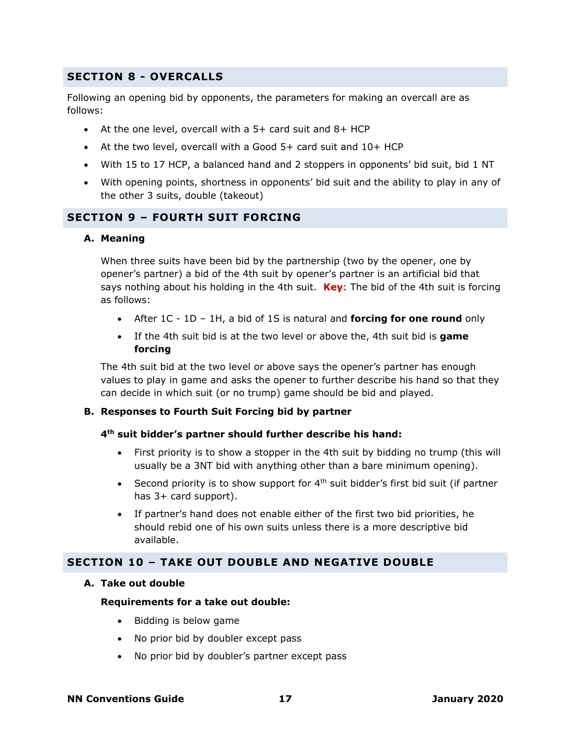# <span id="page-16-0"></span>**SECTION 8 - OVERCALLS**

Following an opening bid by opponents, the parameters for making an overcall are as follows:

- At the one level, overcall with a 5+ card suit and 8+ HCP
- At the two level, overcall with a Good 5+ card suit and 10+ HCP
- With 15 to 17 HCP, a balanced hand and 2 stoppers in opponents' bid suit, bid 1 NT
- With opening points, shortness in opponents' bid suit and the ability to play in any of the other 3 suits, double (takeout)

# <span id="page-16-1"></span>**SECTION 9 – FOURTH SUIT FORCING**

#### **A. Meaning**

When three suits have been bid by the partnership (two by the opener, one by opener's partner) a bid of the 4th suit by opener's partner is an artificial bid that says nothing about his holding in the 4th suit. **Key**: The bid of the 4th suit is forcing as follows:

- After 1C 1D 1H, a bid of 1S is natural and **forcing for one round** only
- If the 4th suit bid is at the two level or above the, 4th suit bid is **game forcing**

The 4th suit bid at the two level or above says the opener's partner has enough values to play in game and asks the opener to further describe his hand so that they can decide in which suit (or no trump) game should be bid and played.

#### **B. Responses to Fourth Suit Forcing bid by partner**

#### **4th suit bidder's partner should further describe his hand:**

- First priority is to show a stopper in the 4th suit by bidding no trump (this will usually be a 3NT bid with anything other than a bare minimum opening).
- Second priority is to show support for  $4<sup>th</sup>$  suit bidder's first bid suit (if partner has 3+ card support).
- If partner's hand does not enable either of the first two bid priorities, he should rebid one of his own suits unless there is a more descriptive bid available.

# <span id="page-16-2"></span>**SECTION 10 – TAKE OUT DOUBLE AND NEGATIVE DOUBLE**

#### **A. Take out double**

#### **Requirements for a take out double:**

- Bidding is below game
- No prior bid by doubler except pass
- No prior bid by doubler's partner except pass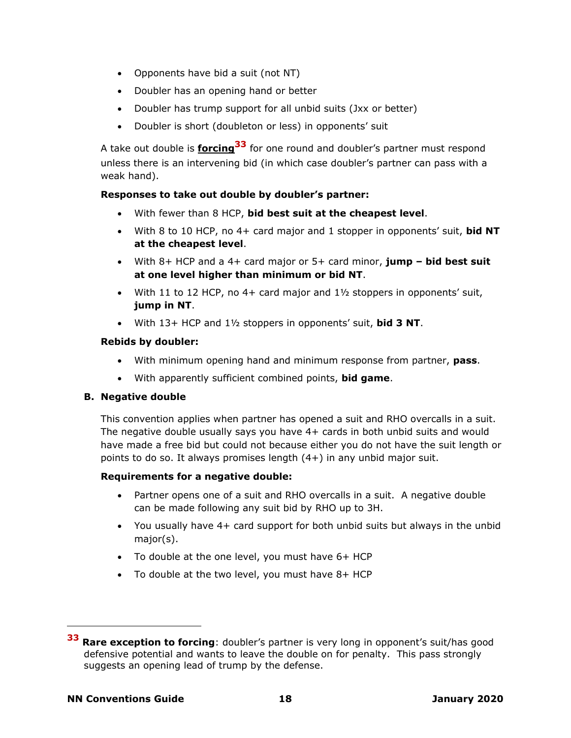- Opponents have bid a suit (not NT)
- Doubler has an opening hand or better
- Doubler has trump support for all unbid suits (Jxx or better)
- Doubler is short (doubleton or less) in opponents' suit

A take out double is **forcing<sup>33</sup>** for one round and doubler's partner must respond unless there is an intervening bid (in which case doubler's partner can pass with a weak hand).

# **Responses to take out double by doubler's partner:**

- With fewer than 8 HCP, **bid best suit at the cheapest level**.
- With 8 to 10 HCP, no 4+ card major and 1 stopper in opponents' suit, **bid NT at the cheapest level**.
- With 8+ HCP and a 4+ card major or 5+ card minor, **jump – bid best suit at one level higher than minimum or bid NT**.
- With 11 to 12 HCP, no 4+ card major and  $1\frac{1}{2}$  stoppers in opponents' suit, **jump in NT**.
- With 13+ HCP and 1½ stoppers in opponents' suit, **bid 3 NT**.

### **Rebids by doubler:**

- With minimum opening hand and minimum response from partner, **pass**.
- With apparently sufficient combined points, **bid game**.

# **B. Negative double**

This convention applies when partner has opened a suit and RHO overcalls in a suit. The negative double usually says you have 4+ cards in both unbid suits and would have made a free bid but could not because either you do not have the suit length or points to do so. It always promises length (4+) in any unbid major suit.

# **Requirements for a negative double:**

- Partner opens one of a suit and RHO overcalls in a suit. A negative double can be made following any suit bid by RHO up to 3H.
- You usually have 4+ card support for both unbid suits but always in the unbid major(s).
- To double at the one level, you must have 6+ HCP
- To double at the two level, you must have 8+ HCP

**<sup>33</sup> Rare exception to forcing**: doubler's partner is very long in opponent's suit/has good defensive potential and wants to leave the double on for penalty. This pass strongly suggests an opening lead of trump by the defense.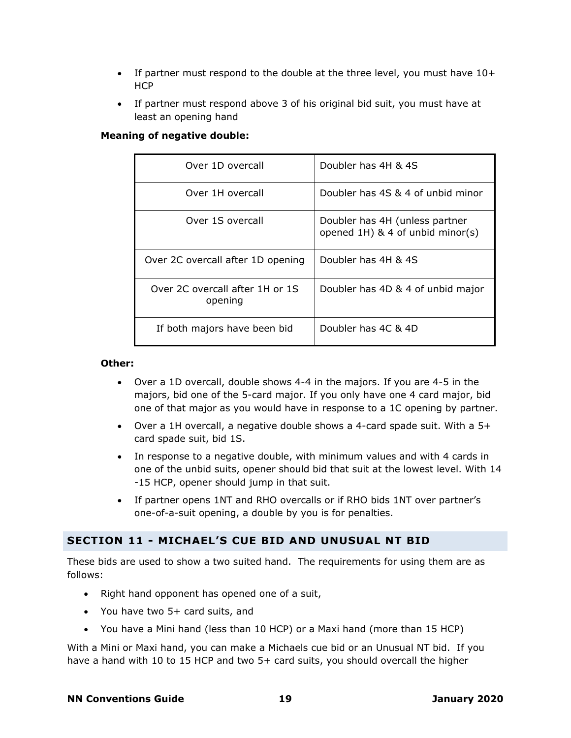- If partner must respond to the double at the three level, you must have 10+ **HCP**
- If partner must respond above 3 of his original bid suit, you must have at least an opening hand

### **Meaning of negative double:**

| Over 1D overcall                           | Doubler has 4H & 4S                                                |
|--------------------------------------------|--------------------------------------------------------------------|
| Over 1H overcall                           | Doubler has 4S & 4 of unbid minor                                  |
| Over 1S overcall                           | Doubler has 4H (unless partner<br>opened 1H) & 4 of unbid minor(s) |
| Over 2C overcall after 1D opening          | Doubler has 4H & 4S                                                |
| Over 2C overcall after 1H or 1S<br>opening | Doubler has 4D & 4 of unbid major                                  |
| If both majors have been bid               | Doubler has 4C & 4D                                                |

#### **Other:**

- Over a 1D overcall, double shows 4-4 in the majors. If you are 4-5 in the majors, bid one of the 5-card major. If you only have one 4 card major, bid one of that major as you would have in response to a 1C opening by partner.
- Over a 1H overcall, a negative double shows a 4-card spade suit. With a 5+ card spade suit, bid 1S.
- In response to a negative double, with minimum values and with 4 cards in one of the unbid suits, opener should bid that suit at the lowest level. With 14 -15 HCP, opener should jump in that suit.
- If partner opens 1NT and RHO overcalls or if RHO bids 1NT over partner's one-of-a-suit opening, a double by you is for penalties.

# <span id="page-18-0"></span>**SECTION 11 - MICHAEL'S CUE BID AND UNUSUAL NT BID**

These bids are used to show a two suited hand. The requirements for using them are as follows:

- Right hand opponent has opened one of a suit,
- You have two 5+ card suits, and
- You have a Mini hand (less than 10 HCP) or a Maxi hand (more than 15 HCP)

With a Mini or Maxi hand, you can make a Michaels cue bid or an Unusual NT bid. If you have a hand with 10 to 15 HCP and two 5+ card suits, you should overcall the higher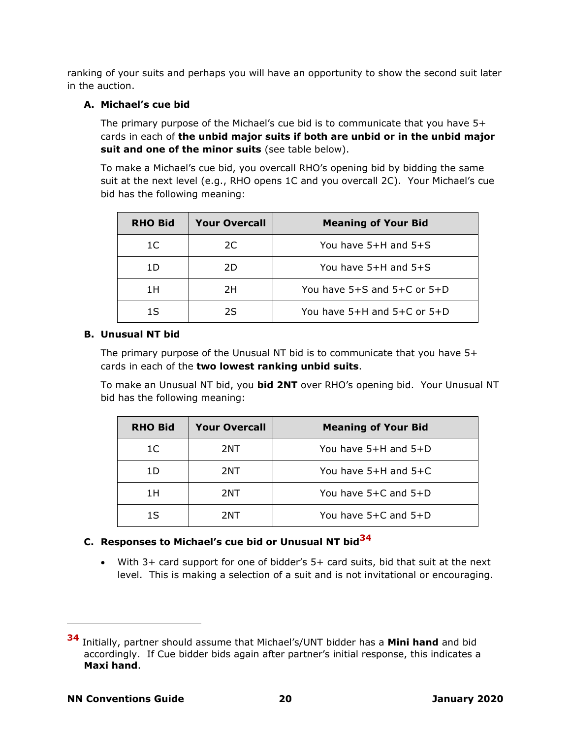ranking of your suits and perhaps you will have an opportunity to show the second suit later in the auction.

# **A. Michael's cue bid**

The primary purpose of the Michael's cue bid is to communicate that you have 5+ cards in each of **the unbid major suits if both are unbid or in the unbid major suit and one of the minor suits** (see table below).

To make a Michael's cue bid, you overcall RHO's opening bid by bidding the same suit at the next level (e.g., RHO opens 1C and you overcall 2C). Your Michael's cue bid has the following meaning:

| <b>RHO Bid</b> | <b>Your Overcall</b> | <b>Meaning of Your Bid</b>        |
|----------------|----------------------|-----------------------------------|
| 1C             | 2C                   | You have 5+H and 5+S              |
| 11)            | 2D                   | You have 5+H and 5+S              |
| 1H             | 2Η                   | You have $5+S$ and $5+C$ or $5+D$ |
| 15             | 25                   | You have 5+H and 5+C or 5+D       |

# **B. Unusual NT bid**

The primary purpose of the Unusual NT bid is to communicate that you have 5+ cards in each of the **two lowest ranking unbid suits**.

To make an Unusual NT bid, you **bid 2NT** over RHO's opening bid. Your Unusual NT bid has the following meaning:

| <b>RHO Bid</b> | <b>Your Overcall</b> | <b>Meaning of Your Bid</b> |
|----------------|----------------------|----------------------------|
| 1C             | 2NT                  | You have 5+H and 5+D       |
| 1D             | 2NT                  | You have 5+H and 5+C       |
| 1H             | 2NT                  | You have 5+C and 5+D       |
| 1S             | 2NT                  | You have 5+C and 5+D       |

# **C. Responses to Michael's cue bid or Unusual NT bid<sup>34</sup>**

• With 3+ card support for one of bidder's 5+ card suits, bid that suit at the next level. This is making a selection of a suit and is not invitational or encouraging.

**<sup>34</sup>** Initially, partner should assume that Michael's/UNT bidder has a **Mini hand** and bid accordingly. If Cue bidder bids again after partner's initial response, this indicates a **Maxi hand**.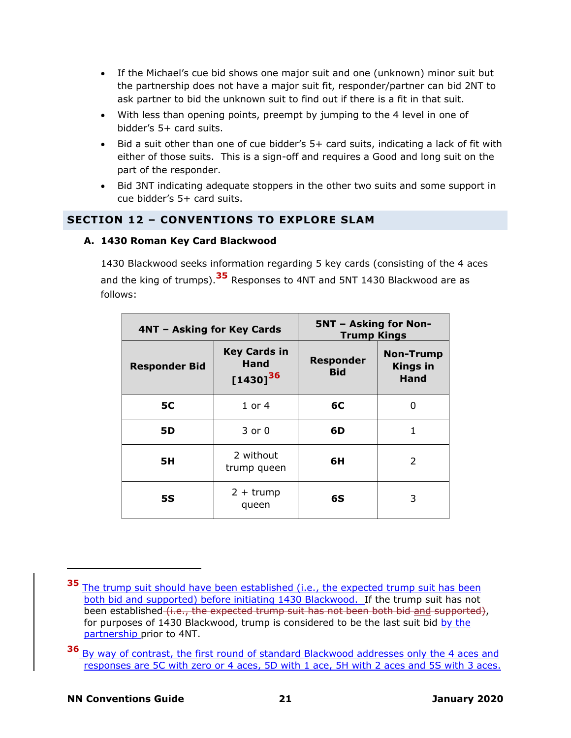- If the Michael's cue bid shows one major suit and one (unknown) minor suit but the partnership does not have a major suit fit, responder/partner can bid 2NT to ask partner to bid the unknown suit to find out if there is a fit in that suit.
- With less than opening points, preempt by jumping to the 4 level in one of bidder's 5+ card suits.
- Bid a suit other than one of cue bidder's 5+ card suits, indicating a lack of fit with either of those suits. This is a sign-off and requires a Good and long suit on the part of the responder.
- Bid 3NT indicating adequate stoppers in the other two suits and some support in cue bidder's 5+ card suits.

# <span id="page-20-0"></span>**SECTION 12 – CONVENTIONS TO EXPLORE SLAM**

# **A. 1430 Roman Key Card Blackwood**

1430 Blackwood seeks information regarding 5 key cards (consisting of the 4 aces and the king of trumps).**<sup>35</sup>** Responses to 4NT and 5NT 1430 Blackwood are as follows:

| 4NT - Asking for Key Cards |                                              | <b>5NT - Asking for Non-</b><br><b>Trump Kings</b> |                                             |
|----------------------------|----------------------------------------------|----------------------------------------------------|---------------------------------------------|
| <b>Responder Bid</b>       | <b>Key Cards in</b><br>Hand<br>$[1430]^{36}$ | <b>Responder</b><br><b>Bid</b>                     | <b>Non-Trump</b><br><b>Kings in</b><br>Hand |
| <b>5C</b>                  | $1$ or $4$                                   | 6C                                                 | 0                                           |
| 5D                         | $3$ or $0$                                   | 6D                                                 | 1                                           |
| 5H                         | 2 without<br>trump queen                     | 6H                                                 | 2                                           |
| <b>5S</b>                  | $2 + \text{trump}$<br>queen                  | 6S                                                 | 3                                           |

**<sup>35</sup>** The trump suit should have been established (i.e., the expected trump suit has been both bid and supported) before initiating 1430 Blackwood. If the trump suit has not been established (i.e., the expected trump suit has not been both bid and supported), for purposes of 1430 Blackwood, trump is considered to be the last suit bid by the partnership prior to 4NT.

**<sup>36</sup>** By way of contrast, the first round of standard Blackwood addresses only the 4 aces and responses are 5C with zero or 4 aces, 5D with 1 ace, 5H with 2 aces and 5S with 3 aces.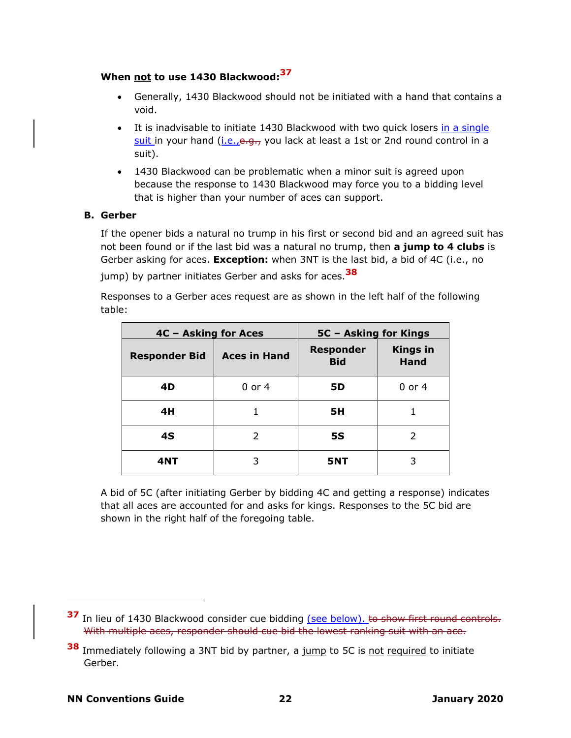# **When not to use 1430 Blackwood: 37**

- Generally, 1430 Blackwood should not be initiated with a hand that contains a void.
- It is inadvisable to initiate 1430 Blackwood with two quick losers in a single suit in your hand (i.e., e.g., you lack at least a 1st or 2nd round control in a suit).
- 1430 Blackwood can be problematic when a minor suit is agreed upon because the response to 1430 Blackwood may force you to a bidding level that is higher than your number of aces can support.

### **B. Gerber**

If the opener bids a natural no trump in his first or second bid and an agreed suit has not been found or if the last bid was a natural no trump, then **a jump to 4 clubs** is Gerber asking for aces. **Exception:** when 3NT is the last bid, a bid of 4C (i.e., no

jump) by partner initiates Gerber and asks for aces.**<sup>38</sup>**

Responses to a Gerber aces request are as shown in the left half of the following table:

| 4C - Asking for Aces |                     | 5C - Asking for Kings          |                                |
|----------------------|---------------------|--------------------------------|--------------------------------|
| <b>Responder Bid</b> | <b>Aces in Hand</b> | <b>Responder</b><br><b>Bid</b> | <b>Kings in</b><br><b>Hand</b> |
| 4D                   | 0 or 4              | <b>5D</b>                      | 0 or 4                         |
| 4H                   |                     | 5H                             |                                |
| 4S                   | 2                   | <b>5S</b>                      | 2                              |
| 4NT                  | 3                   | 5NT                            |                                |

A bid of 5C (after initiating Gerber by bidding 4C and getting a response) indicates that all aces are accounted for and asks for kings. Responses to the 5C bid are shown in the right half of the foregoing table.

**<sup>37</sup>** In lieu of 1430 Blackwood consider cue bidding (see below). to show first round controls. With multiple aces, responder should cue bid the lowest ranking suit with an ace.

**<sup>38</sup>** Immediately following a 3NT bid by partner, a jump to 5C is not required to initiate Gerber.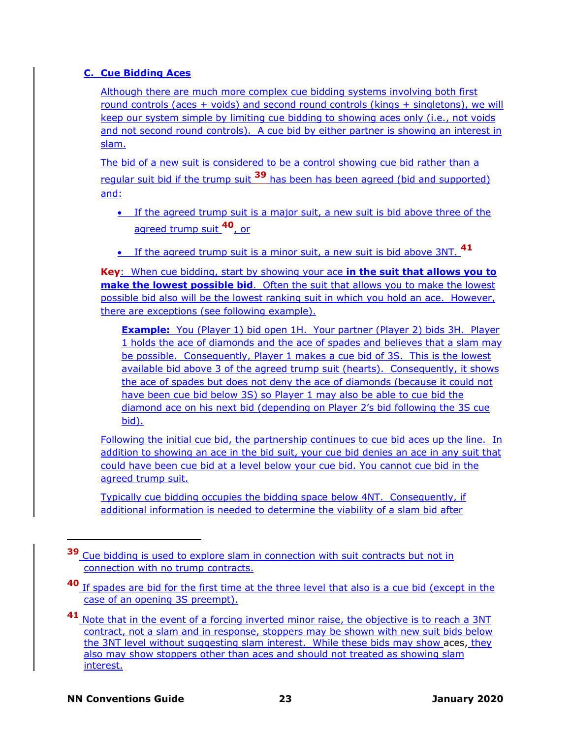# **C. Cue Bidding Aces**

Although there are much more complex cue bidding systems involving both first round controls (aces + voids) and second round controls (kings + singletons), we will keep our system simple by limiting cue bidding to showing aces only (i.e., not voids and not second round controls). A cue bid by either partner is showing an interest in slam.

The bid of a new suit is considered to be a control showing cue bid rather than a regular suit bid if the trump suit **<sup>39</sup>** has been has been agreed (bid and supported) and:

- If the agreed trump suit is a major suit, a new suit is bid above three of the agreed trump suit **<sup>40</sup>**, or
- If the agreed trump suit is a minor suit, a new suit is bid above 3NT. **41**

**Key**: When cue bidding, start by showing your ace **in the suit that allows you to make the lowest possible bid**. Often the suit that allows you to make the lowest possible bid also will be the lowest ranking suit in which you hold an ace. However, there are exceptions (see following example).

**Example:** You (Player 1) bid open 1H. Your partner (Player 2) bids 3H. Player 1 holds the ace of diamonds and the ace of spades and believes that a slam may be possible. Consequently, Player 1 makes a cue bid of 3S. This is the lowest available bid above 3 of the agreed trump suit (hearts). Consequently, it shows the ace of spades but does not deny the ace of diamonds (because it could not have been cue bid below 3S) so Player 1 may also be able to cue bid the diamond ace on his next bid (depending on Player 2's bid following the 3S cue bid).

Following the initial cue bid, the partnership continues to cue bid aces up the line. In addition to showing an ace in the bid suit, your cue bid denies an ace in any suit that could have been cue bid at a level below your cue bid. You cannot cue bid in the agreed trump suit.

Typically cue bidding occupies the bidding space below 4NT. Consequently, if additional information is needed to determine the viability of a slam bid after

**<sup>39</sup>** Cue bidding is used to explore slam in connection with suit contracts but not in connection with no trump contracts.

**<sup>40</sup>** If spades are bid for the first time at the three level that also is a cue bid (except in the case of an opening 3S preempt).

**<sup>41</sup>** Note that in the event of a forcing inverted minor raise, the objective is to reach a 3NT contract, not a slam and in response, stoppers may be shown with new suit bids below the 3NT level without suggesting slam interest. While these bids may show aces, they also may show stoppers other than aces and should not treated as showing slam interest.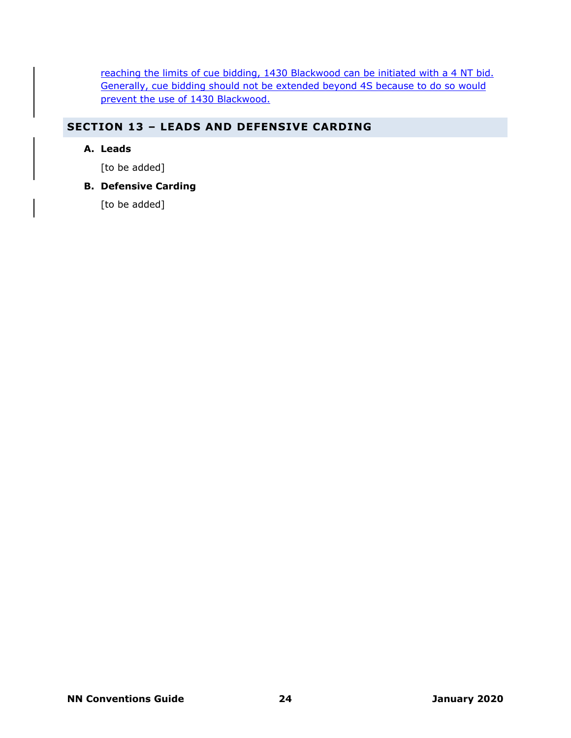reaching the limits of cue bidding, 1430 Blackwood can be initiated with a 4 NT bid. Generally, cue bidding should not be extended beyond 4S because to do so would prevent the use of 1430 Blackwood.

# <span id="page-23-0"></span>**SECTION 13 – LEADS AND DEFENSIVE CARDING**

# **A. Leads**

[to be added]

# **B. Defensive Carding**

[to be added]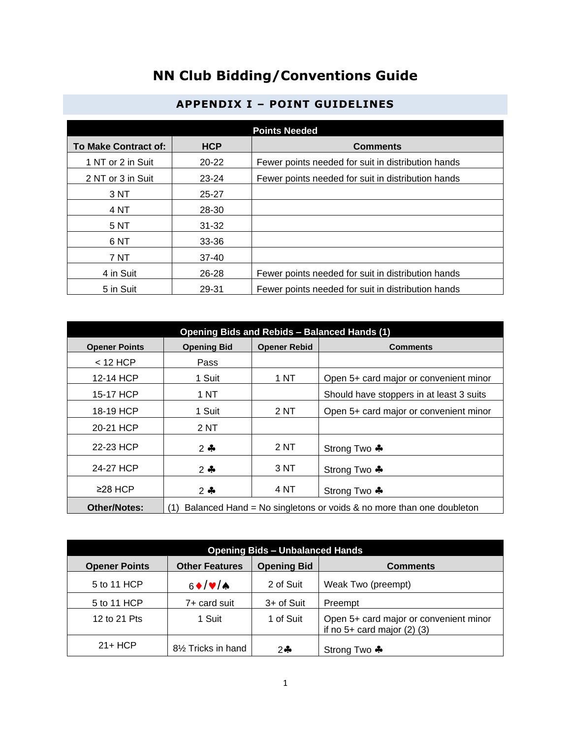# **NN Club Bidding/Conventions Guide**

<span id="page-24-0"></span>

| <b>Points Needed</b>        |            |                                                    |
|-----------------------------|------------|----------------------------------------------------|
| <b>To Make Contract of:</b> | <b>HCP</b> | <b>Comments</b>                                    |
| 1 NT or 2 in Suit           | $20 - 22$  | Fewer points needed for suit in distribution hands |
| 2 NT or 3 in Suit           | $23 - 24$  | Fewer points needed for suit in distribution hands |
| 3 <sub>N</sub>              | 25-27      |                                                    |
| 4 NT                        | 28-30      |                                                    |
| 5 NT                        | $31 - 32$  |                                                    |
| 6 <sub>NT</sub>             | 33-36      |                                                    |
| 7 NT                        | $37-40$    |                                                    |
| 4 in Suit                   | 26-28      | Fewer points needed for suit in distribution hands |
| 5 in Suit                   | 29-31      | Fewer points needed for suit in distribution hands |

# **APPENDIX I – POINT GUIDELINES**

| <b>Opening Bids and Rebids - Balanced Hands (1)</b> |                                                                            |                     |                                          |
|-----------------------------------------------------|----------------------------------------------------------------------------|---------------------|------------------------------------------|
| <b>Opener Points</b>                                | <b>Opening Bid</b>                                                         | <b>Opener Rebid</b> | <b>Comments</b>                          |
| $<$ 12 HCP                                          | Pass                                                                       |                     |                                          |
| 12-14 HCP                                           | 1 Suit                                                                     | 1 NT                | Open 5+ card major or convenient minor   |
| 15-17 HCP                                           | 1 NT                                                                       |                     | Should have stoppers in at least 3 suits |
| 18-19 HCP                                           | 1 Suit                                                                     | 2 NT                | Open 5+ card major or convenient minor   |
| 20-21 HCP                                           | 2NT                                                                        |                     |                                          |
| 22-23 HCP                                           | $2 - 1$                                                                    | 2 NT                | Strong Two ♣                             |
| 24-27 HCP                                           | $2 - 1$                                                                    | 3 NT                | Strong Two ♣                             |
| ≥28 HCP                                             | $2 - 1$                                                                    | 4 NT                | Strong Two ♣                             |
| <b>Other/Notes:</b>                                 | Balanced Hand = No singletons or voids & no more than one doubleton<br>(1) |                     |                                          |

| <b>Opening Bids - Unbalanced Hands</b> |                                 |                    |                                                                             |
|----------------------------------------|---------------------------------|--------------------|-----------------------------------------------------------------------------|
| <b>Opener Points</b>                   | <b>Other Features</b>           | <b>Opening Bid</b> | <b>Comments</b>                                                             |
| 5 to 11 HCP                            | $6 \cdot \frac{1}{2}$           | 2 of Suit          | Weak Two (preempt)                                                          |
| 5 to 11 HCP                            | 7+ card suit                    | 3+ of Suit         | Preempt                                                                     |
| 12 to 21 Pts                           | 1 Suit                          | 1 of Suit          | Open 5+ card major or convenient minor<br>if no $5+$ card major $(2)$ $(3)$ |
| $21+HCP$                               | 81/ <sub>2</sub> Tricks in hand | $2 -$              | Strong Two ♣                                                                |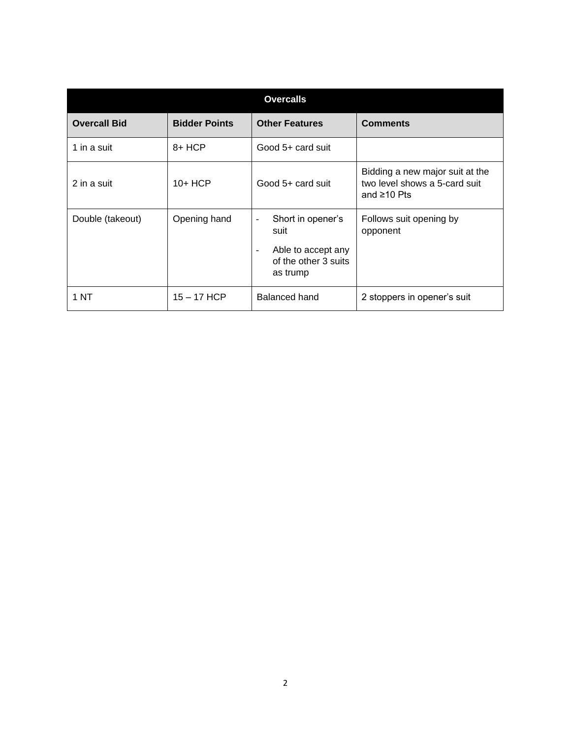| <b>Overcalls</b>    |                      |                                                                                                                                             |                                                                                       |
|---------------------|----------------------|---------------------------------------------------------------------------------------------------------------------------------------------|---------------------------------------------------------------------------------------|
| <b>Overcall Bid</b> | <b>Bidder Points</b> | <b>Other Features</b>                                                                                                                       | <b>Comments</b>                                                                       |
| 1 in a suit         | $8+HCP$              | Good 5+ card suit                                                                                                                           |                                                                                       |
| 2 in a suit         | $10+HCP$             | Good 5+ card suit                                                                                                                           | Bidding a new major suit at the<br>two level shows a 5-card suit<br>and $\geq 10$ Pts |
| Double (takeout)    | Opening hand         | Short in opener's<br>$\overline{\phantom{a}}$<br>suit<br>Able to accept any<br>$\overline{\phantom{a}}$<br>of the other 3 suits<br>as trump | Follows suit opening by<br>opponent                                                   |
| 1 NT                | $15 - 17$ HCP        | Balanced hand                                                                                                                               | 2 stoppers in opener's suit                                                           |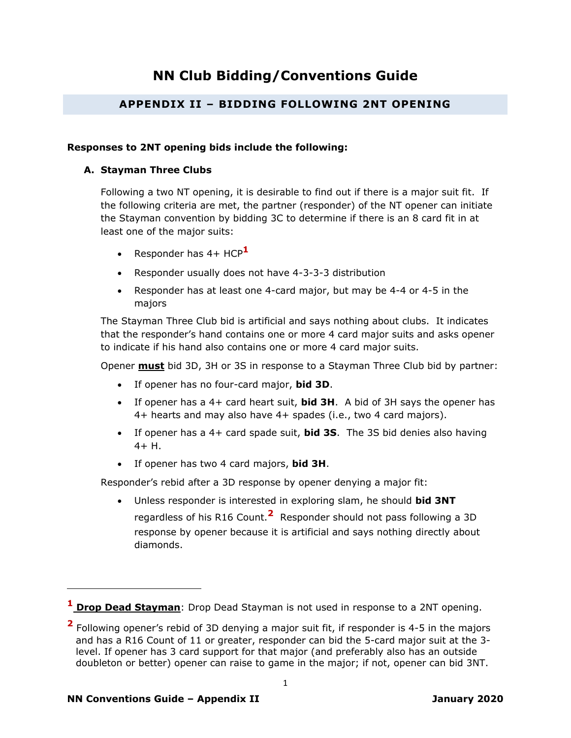# **NN Club Bidding/Conventions Guide**

# **APPENDIX II – BIDDING FOLLOWING 2NT OPENING**

### <span id="page-26-0"></span>**Responses to 2NT opening bids include the following:**

### **A. Stayman Three Clubs**

Following a two NT opening, it is desirable to find out if there is a major suit fit. If the following criteria are met, the partner (responder) of the NT opener can initiate the Stayman convention by bidding 3C to determine if there is an 8 card fit in at least one of the major suits:

- Responder has 4+ HCP**<sup>1</sup>**
- Responder usually does not have 4-3-3-3 distribution
- Responder has at least one 4-card major, but may be 4-4 or 4-5 in the majors

The Stayman Three Club bid is artificial and says nothing about clubs. It indicates that the responder's hand contains one or more 4 card major suits and asks opener to indicate if his hand also contains one or more 4 card major suits.

Opener **must** bid 3D, 3H or 3S in response to a Stayman Three Club bid by partner:

- If opener has no four-card major, **bid 3D**.
- If opener has a 4+ card heart suit, **bid 3H**. A bid of 3H says the opener has 4+ hearts and may also have 4+ spades (i.e., two 4 card majors).
- If opener has a 4+ card spade suit, **bid 3S**. The 3S bid denies also having 4+ H.
- If opener has two 4 card majors, **bid 3H**.

Responder's rebid after a 3D response by opener denying a major fit:

• Unless responder is interested in exploring slam, he should **bid 3NT** regardless of his R16 Count.**<sup>2</sup>** Responder should not pass following a 3D response by opener because it is artificial and says nothing directly about diamonds.

**<sup>1</sup> Drop Dead Stayman**: Drop Dead Stayman is not used in response to a 2NT opening.

**<sup>2</sup>** Following opener's rebid of 3D denying a major suit fit, if responder is 4-5 in the majors and has a R16 Count of 11 or greater, responder can bid the 5-card major suit at the 3 level. If opener has 3 card support for that major (and preferably also has an outside doubleton or better) opener can raise to game in the major; if not, opener can bid 3NT.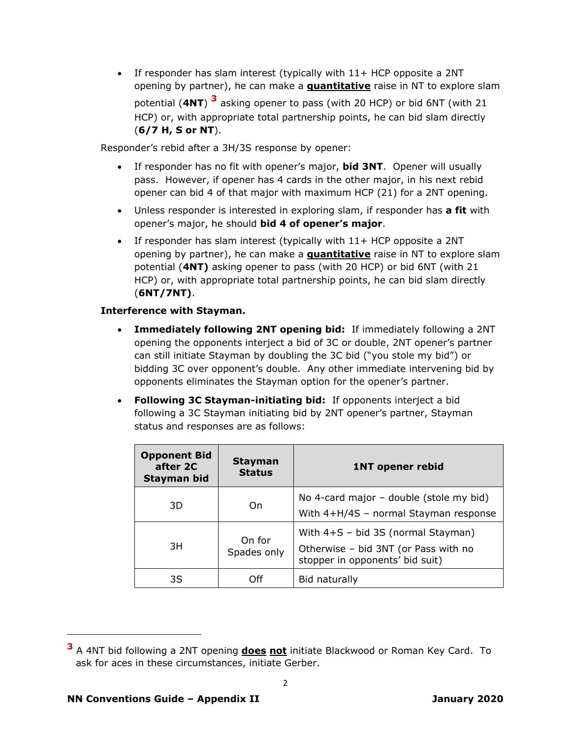• If responder has slam interest (typically with 11+ HCP opposite a 2NT opening by partner), he can make a **quantitative** raise in NT to explore slam potential (**4NT**) **3** asking opener to pass (with 20 HCP) or bid 6NT (with 21 HCP) or, with appropriate total partnership points, he can bid slam directly (**6/7 H, S or NT**).

Responder's rebid after a 3H/3S response by opener:

- If responder has no fit with opener's major, **bid 3NT**. Opener will usually pass. However, if opener has 4 cards in the other major, in his next rebid opener can bid 4 of that major with maximum HCP (21) for a 2NT opening.
- Unless responder is interested in exploring slam, if responder has **a fit** with opener's major, he should **bid 4 of opener's major**.
- If responder has slam interest (typically with 11+ HCP opposite a 2NT opening by partner), he can make a **quantitative** raise in NT to explore slam potential (**4NT)** asking opener to pass (with 20 HCP) or bid 6NT (with 21 HCP) or, with appropriate total partnership points, he can bid slam directly (**6NT/7NT)**.

### **Interference with Stayman.**

- **Immediately following 2NT opening bid:** If immediately following a 2NT opening the opponents interject a bid of 3C or double, 2NT opener's partner can still initiate Stayman by doubling the 3C bid ("you stole my bid") or bidding 3C over opponent's double. Any other immediate intervening bid by opponents eliminates the Stayman option for the opener's partner.
- **Following 3C Stayman-initiating bid:** If opponents interject a bid following a 3C Stayman initiating bid by 2NT opener's partner, Stayman status and responses are as follows:

| <b>Opponent Bid</b><br>after 2C<br>Stayman bid | <b>Stayman</b><br><b>Status</b> | <b>1NT opener rebid</b>                                                                                         |
|------------------------------------------------|---------------------------------|-----------------------------------------------------------------------------------------------------------------|
| 3D                                             | On                              | No 4-card major - double (stole my bid)<br>With 4+H/4S - normal Stayman response                                |
| 3H                                             | On for<br>Spades only           | With $4+S - bid 3S$ (normal Stayman)<br>Otherwise - bid 3NT (or Pass with no<br>stopper in opponents' bid suit) |
| 3S                                             | Off                             | Bid naturally                                                                                                   |

**<sup>3</sup>** A 4NT bid following a 2NT opening **does not** initiate Blackwood or Roman Key Card. To ask for aces in these circumstances, initiate Gerber.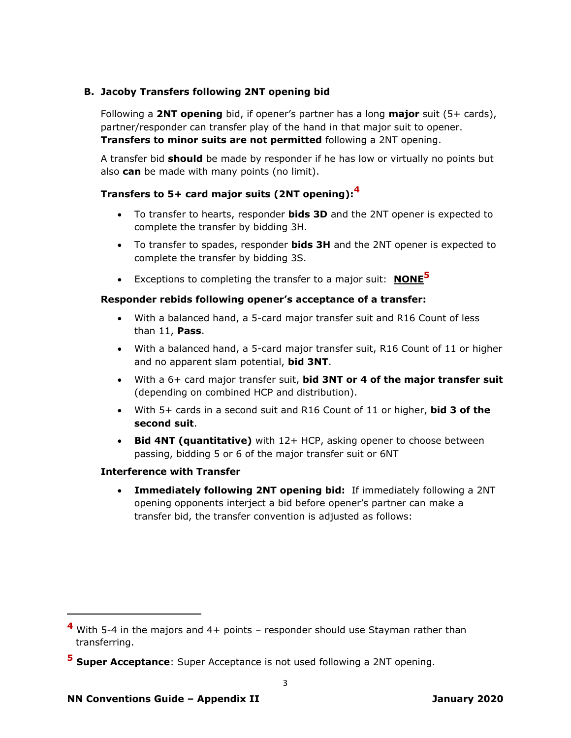# **B. Jacoby Transfers following 2NT opening bid**

Following a **2NT opening** bid, if opener's partner has a long **major** suit (5+ cards), partner/responder can transfer play of the hand in that major suit to opener. **Transfers to minor suits are not permitted** following a 2NT opening.

A transfer bid **should** be made by responder if he has low or virtually no points but also **can** be made with many points (no limit).

# **Transfers to 5+ card major suits (2NT opening):<sup>4</sup>**

- To transfer to hearts, responder **bids 3D** and the 2NT opener is expected to complete the transfer by bidding 3H.
- To transfer to spades, responder **bids 3H** and the 2NT opener is expected to complete the transfer by bidding 3S.
- Exceptions to completing the transfer to a major suit: **NONE<sup>5</sup>**

# **Responder rebids following opener's acceptance of a transfer:**

- With a balanced hand, a 5-card major transfer suit and R16 Count of less than 11, **Pass**.
- With a balanced hand, a 5-card major transfer suit, R16 Count of 11 or higher and no apparent slam potential, **bid 3NT**.
- With a 6+ card major transfer suit, **bid 3NT or 4 of the major transfer suit** (depending on combined HCP and distribution).
- With 5+ cards in a second suit and R16 Count of 11 or higher, **bid 3 of the second suit**.
- **Bid 4NT (quantitative)** with 12+ HCP, asking opener to choose between passing, bidding 5 or 6 of the major transfer suit or 6NT

# **Interference with Transfer**

• **Immediately following 2NT opening bid:** If immediately following a 2NT opening opponents interject a bid before opener's partner can make a transfer bid, the transfer convention is adjusted as follows:

**<sup>4</sup>** With 5-4 in the majors and 4+ points – responder should use Stayman rather than transferring.

**<sup>5</sup> Super Acceptance**: Super Acceptance is not used following a 2NT opening.